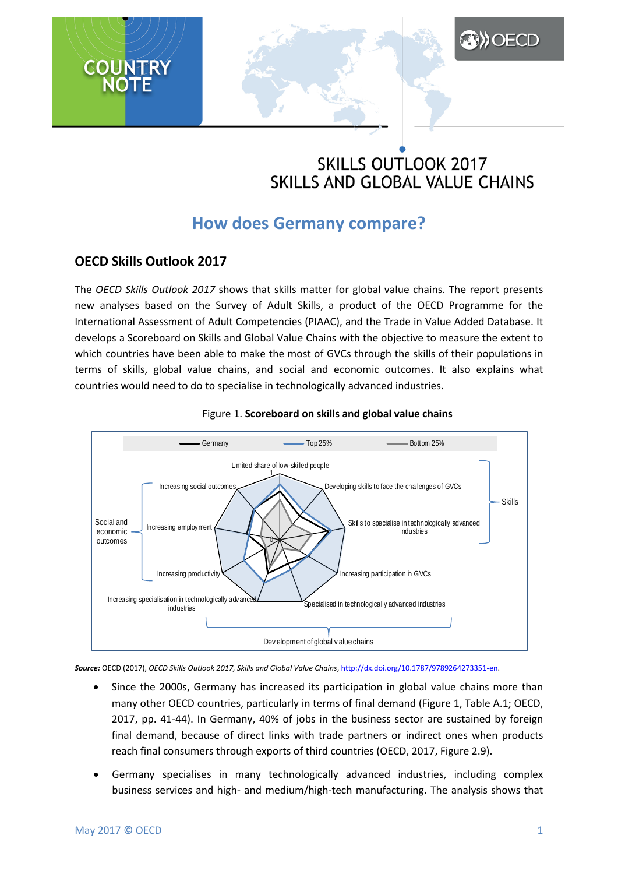# **SKILLS OUTLOOK 2017** SKILLS AND GLOBAL VALUE CHAINS

**ADOECD** 

## **How does Germany compare?**

## **OECD Skills Outlook 2017**

The *OECD Skills Outlook 2017* shows that skills matter for global value chains. The report presents new analyses based on the Survey of Adult Skills, a product of the OECD Programme for the International Assessment of Adult Competencies (PIAAC), and the Trade in Value Added Database. It develops a Scoreboard on Skills and Global Value Chains with the objective to measure the extent to which countries have been able to make the most of GVCs through the skills of their populations in terms of skills, global value chains, and social and economic outcomes. It also explains what countries would need to do to specialise in technologically advanced industries.





*Source:* OECD (2017), *OECD Skills Outlook 2017, Skills and Global Value Chains*, [http://dx.doi.org/10.1787/9789264273351-en.](http://dx.doi.org/10.1787/9789264273351-en)

- Since the 2000s, Germany has increased its participation in global value chains more than many other OECD countries, particularly in terms of final demand (Figure 1, Table A.1; OECD, 2017, pp. 41-44). In Germany, 40% of jobs in the business sector are sustained by foreign final demand, because of direct links with trade partners or indirect ones when products reach final consumers through exports of third countries (OECD, 2017, Figure 2.9).
- Germany specialises in many technologically advanced industries, including complex business services and high- and medium/high-tech manufacturing. The analysis shows that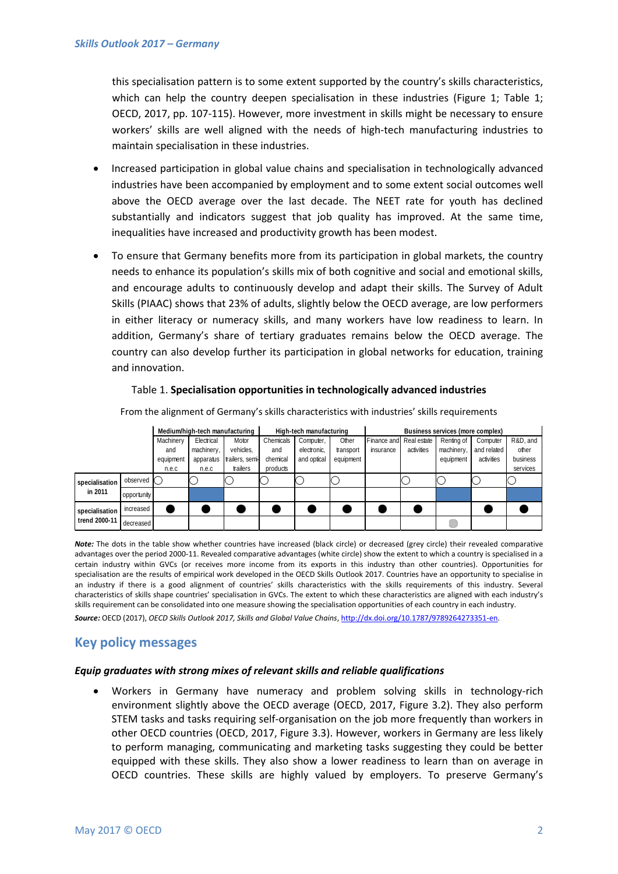this specialisation pattern is to some extent supported by the country's skills characteristics, which can help the country deepen specialisation in these industries (Figure 1; Table 1; OECD, 2017, pp. 107-115). However, more investment in skills might be necessary to ensure workers' skills are well aligned with the needs of high-tech manufacturing industries to maintain specialisation in these industries.

- Increased participation in global value chains and specialisation in technologically advanced industries have been accompanied by employment and to some extent social outcomes well above the OECD average over the last decade. The NEET rate for youth has declined substantially and indicators suggest that job quality has improved. At the same time, inequalities have increased and productivity growth has been modest.
- To ensure that Germany benefits more from its participation in global markets, the country needs to enhance its population's skills mix of both cognitive and social and emotional skills, and encourage adults to continuously develop and adapt their skills. The Survey of Adult Skills (PIAAC) shows that 23% of adults, slightly below the OECD average, are low performers in either literacy or numeracy skills, and many workers have low readiness to learn. In addition, Germany's share of tertiary graduates remains below the OECD average. The country can also develop further its participation in global networks for education, training and innovation.

#### Table 1. **Specialisation opportunities in technologically advanced industries**

|                                 |             | Medium/high-tech manufacturing |            |                 | High-tech manufacturing |             |           | Business services (more complex) |            |            |             |          |
|---------------------------------|-------------|--------------------------------|------------|-----------------|-------------------------|-------------|-----------|----------------------------------|------------|------------|-------------|----------|
|                                 |             | Machinery                      | Electrical | Motor           | Chemicals               | Computer,   | Other     | Finance and Real estate          |            | Renting of | Computer    | R&D, and |
|                                 |             | and                            | machinery, | vehicles,       | and                     | electronic. | transport | insurance                        | activities | machinery, | and related | other    |
|                                 |             | equipment                      | apparatus  | trailers, semi- | chemical                | and optical | equipment |                                  |            | equipment  | activities  | business |
|                                 |             | n.e.c                          | n.e.c      | trailers        | products                |             |           |                                  |            |            |             | services |
| specialisation<br>in 2011       | observed (  |                                |            |                 |                         |             |           |                                  |            |            |             |          |
|                                 | opportunity |                                |            |                 |                         |             |           |                                  |            |            |             |          |
| specialisation<br>trend 2000-11 | increased   |                                |            |                 |                         |             |           |                                  |            |            |             |          |
|                                 | decreased   |                                |            |                 |                         |             |           |                                  |            |            |             |          |

From the alignment of Germany's skills characteristics with industries' skills requirements

*Note:* The dots in the table show whether countries have increased (black circle) or decreased (grey circle) their revealed comparative advantages over the period 2000-11. Revealed comparative advantages (white circle) show the extent to which a country is specialised in a certain industry within GVCs (or receives more income from its exports in this industry than other countries). Opportunities for specialisation are the results of empirical work developed in the OECD Skills Outlook 2017. Countries have an opportunity to specialise in an industry if there is a good alignment of countries' skills characteristics with the skills requirements of this industry. Several characteristics of skills shape countries' specialisation in GVCs. The extent to which these characteristics are aligned with each industry's skills requirement can be consolidated into one measure showing the specialisation opportunities of each country in each industry.

*Source:* OECD (2017), *OECD Skills Outlook 2017, Skills and Global Value Chains*, [http://dx.doi.org/10.1787/9789264273351-en.](http://dx.doi.org/10.1787/9789264273351-en)

### **Key policy messages**

#### *Equip graduates with strong mixes of relevant skills and reliable qualifications*

• Workers in Germany have numeracy and problem solving skills in technology-rich environment slightly above the OECD average (OECD, 2017, Figure 3.2). They also perform STEM tasks and tasks requiring self-organisation on the job more frequently than workers in other OECD countries (OECD, 2017, Figure 3.3). However, workers in Germany are less likely to perform managing, communicating and marketing tasks suggesting they could be better equipped with these skills. They also show a lower readiness to learn than on average in OECD countries. These skills are highly valued by employers. To preserve Germany's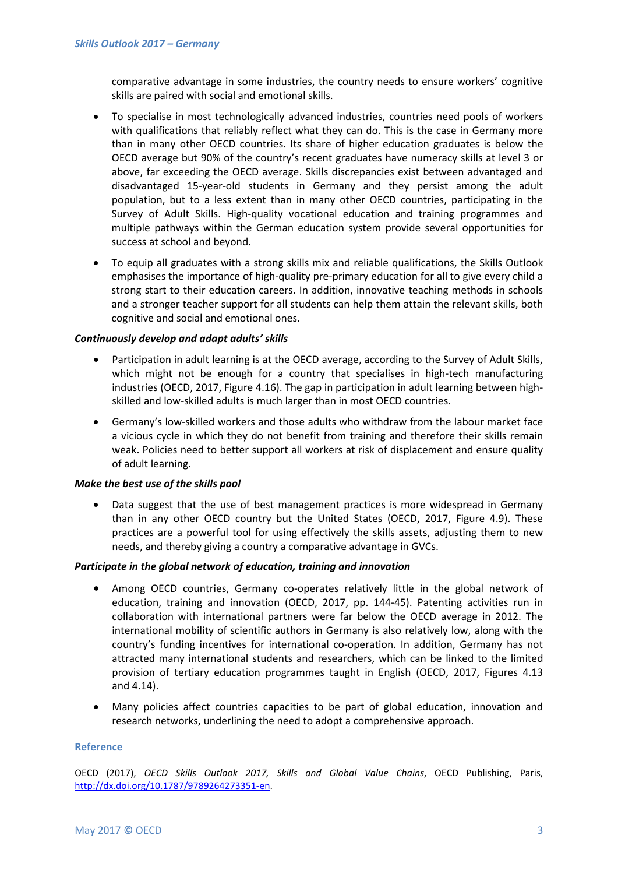comparative advantage in some industries, the country needs to ensure workers' cognitive skills are paired with social and emotional skills.

- To specialise in most technologically advanced industries, countries need pools of workers with qualifications that reliably reflect what they can do. This is the case in Germany more than in many other OECD countries. Its share of higher education graduates is below the OECD average but 90% of the country's recent graduates have numeracy skills at level 3 or above, far exceeding the OECD average. Skills discrepancies exist between advantaged and disadvantaged 15-year-old students in Germany and they persist among the adult population, but to a less extent than in many other OECD countries, participating in the Survey of Adult Skills. High-quality vocational education and training programmes and multiple pathways within the German education system provide several opportunities for success at school and beyond.
- To equip all graduates with a strong skills mix and reliable qualifications, the Skills Outlook emphasises the importance of high-quality pre-primary education for all to give every child a strong start to their education careers. In addition, innovative teaching methods in schools and a stronger teacher support for all students can help them attain the relevant skills, both cognitive and social and emotional ones.

#### *Continuously develop and adapt adults' skills*

- Participation in adult learning is at the OECD average, according to the Survey of Adult Skills, which might not be enough for a country that specialises in high-tech manufacturing industries (OECD, 2017, Figure 4.16). The gap in participation in adult learning between highskilled and low-skilled adults is much larger than in most OECD countries.
- Germany's low-skilled workers and those adults who withdraw from the labour market face a vicious cycle in which they do not benefit from training and therefore their skills remain weak. Policies need to better support all workers at risk of displacement and ensure quality of adult learning.

#### *Make the best use of the skills pool*

Data suggest that the use of best management practices is more widespread in Germany than in any other OECD country but the United States (OECD, 2017, Figure 4.9). These practices are a powerful tool for using effectively the skills assets, adjusting them to new needs, and thereby giving a country a comparative advantage in GVCs.

#### *Participate in the global network of education, training and innovation*

- Among OECD countries, Germany co-operates relatively little in the global network of education, training and innovation (OECD, 2017, pp. 144-45). Patenting activities run in collaboration with international partners were far below the OECD average in 2012. The international mobility of scientific authors in Germany is also relatively low, along with the country's funding incentives for international co-operation. In addition, Germany has not attracted many international students and researchers, which can be linked to the limited provision of tertiary education programmes taught in English (OECD, 2017, Figures 4.13 and 4.14).
- Many policies affect countries capacities to be part of global education, innovation and research networks, underlining the need to adopt a comprehensive approach.

#### **Reference**

OECD (2017), *OECD Skills Outlook 2017, Skills and Global Value Chains*, OECD Publishing, Paris, [http://dx.doi.org/10.1787/9789264273351-en.](http://dx.doi.org/10.1787/9789264273351-en)